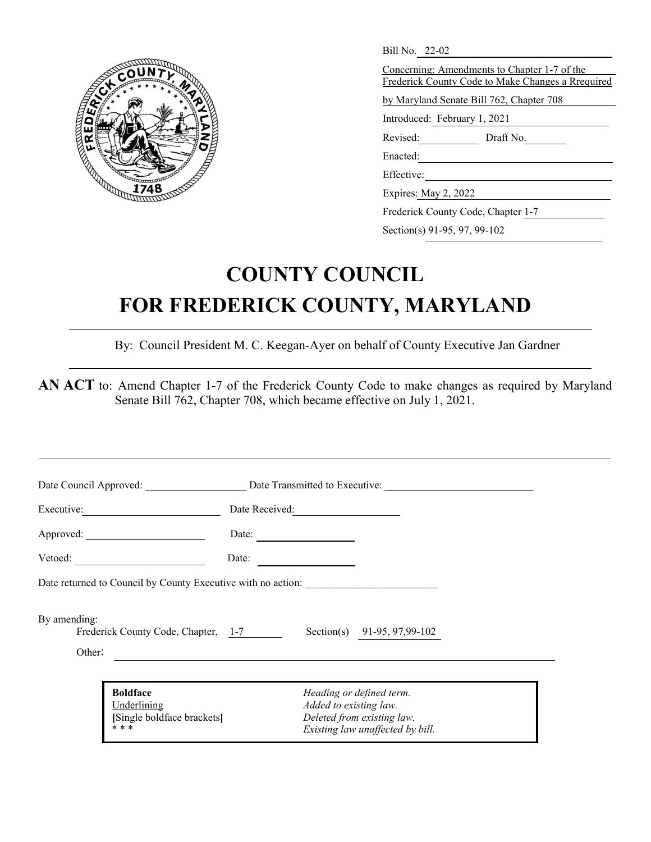

| Bill No. 22-02                                                                                    |
|---------------------------------------------------------------------------------------------------|
| Concerning: Amendments to Chapter 1-7 of the<br>Frederick County Code to Make Changes a Rrequired |
| by Maryland Senate Bill 762, Chapter 708                                                          |
| Introduced: February 1, 2021                                                                      |
| Revised:<br>Draft No.                                                                             |
| Enacted:                                                                                          |
| Effective:                                                                                        |
| Expires: May 2, 2022                                                                              |
| Frederick County Code, Chapter 1-7                                                                |

Section(s) 91-95, 97, 99-102

# **COUNTY COUNCIL FOR FREDERICK COUNTY, MARYLAND**

By: Council President M. C. Keegan-Ayer on behalf of County Executive Jan Gardner

AN ACT to: Amend Chapter 1-7 of the Frederick County Code to make changes as required by Maryland Senate Bill 762, Chapter 708, which became effective on July 1, 2021.

|                                                               | Date Council Approved: Date Transmitted to Executive:                                                                                                |
|---------------------------------------------------------------|------------------------------------------------------------------------------------------------------------------------------------------------------|
| Executive:                                                    | Date Received:                                                                                                                                       |
|                                                               | Date: $\qquad \qquad$                                                                                                                                |
| Vector:                                                       | Date:                                                                                                                                                |
|                                                               | Date returned to Council by County Executive with no action:                                                                                         |
| By amending:<br>Frederick County Code, Chapter, 1-7<br>Other: | Section(s) 91-95, 97,99-102<br><u> 1989 - Johann Harry Harry Harry Harry Harry Harry Harry Harry Harry Harry Harry Harry Harry Harry Harry Harry</u> |
| <b>Boldface</b><br>Underlining<br>[Single boldface brackets]  | Heading or defined term.<br>Added to existing law.<br>Deleted from existing law.                                                                     |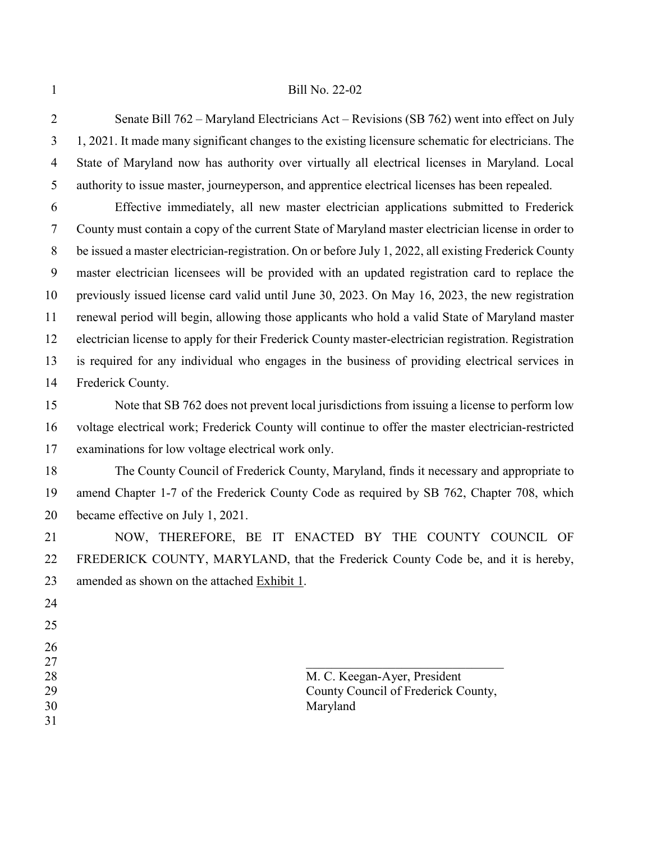#### Bill No. 22-02

 Senate Bill 762 – Maryland Electricians Act – Revisions (SB 762) went into effect on July 1, 2021. It made many significant changes to the existing licensure schematic for electricians. The State of Maryland now has authority over virtually all electrical licenses in Maryland. Local authority to issue master, journeyperson, and apprentice electrical licenses has been repealed.

 Effective immediately, all new master electrician applications submitted to Frederick County must contain a copy of the current State of Maryland master electrician license in order to be issued a master electrician-registration. On or before July 1, 2022, all existing Frederick County master electrician licensees will be provided with an updated registration card to replace the previously issued license card valid until June 30, 2023. On May 16, 2023, the new registration renewal period will begin, allowing those applicants who hold a valid State of Maryland master electrician license to apply for their Frederick County master-electrician registration. Registration is required for any individual who engages in the business of providing electrical services in Frederick County.

 Note that SB 762 does not prevent local jurisdictions from issuing a license to perform low voltage electrical work; Frederick County will continue to offer the master electrician-restricted examinations for low voltage electrical work only.

 The County Council of Frederick County, Maryland, finds it necessary and appropriate to amend Chapter 1-7 of the Frederick County Code as required by SB 762, Chapter 708, which became effective on July 1, 2021.

 NOW, THEREFORE, BE IT ENACTED BY THE COUNTY COUNCIL OF FREDERICK COUNTY, MARYLAND, that the Frederick County Code be, and it is hereby, amended as shown on the attached Exhibit 1.

- 
- 
- $\Box$

28 M. C. Keegan-Ayer, President County Council of Frederick County, Maryland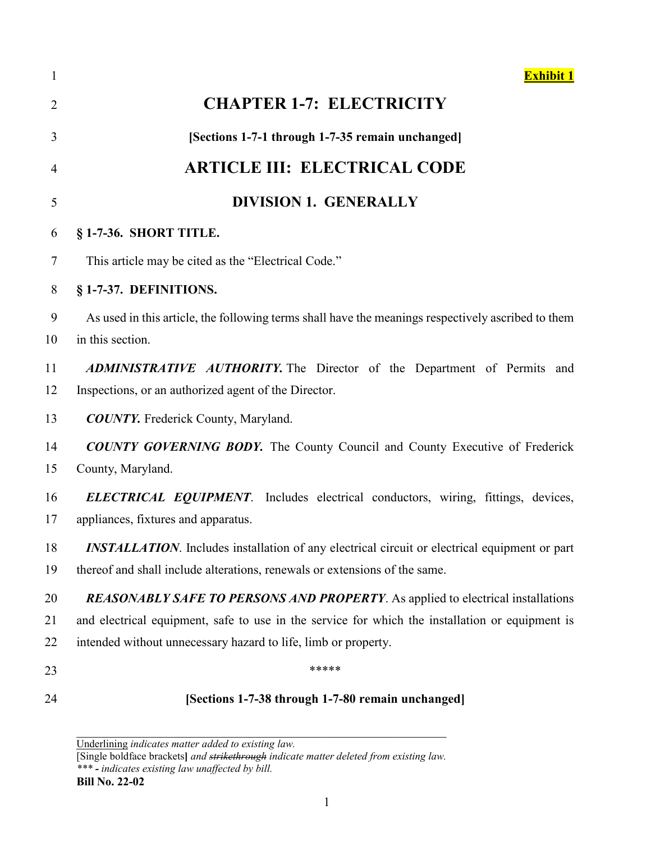| $\mathbf{1}$   | <b>Exhibit 1</b>                                                                                                                |
|----------------|---------------------------------------------------------------------------------------------------------------------------------|
| $\overline{2}$ | <b>CHAPTER 1-7: ELECTRICITY</b>                                                                                                 |
| 3              | [Sections 1-7-1 through 1-7-35 remain unchanged]                                                                                |
| $\overline{4}$ | <b>ARTICLE III: ELECTRICAL CODE</b>                                                                                             |
| 5              | <b>DIVISION 1. GENERALLY</b>                                                                                                    |
| 6              | § 1-7-36. SHORT TITLE.                                                                                                          |
| $\tau$         | This article may be cited as the "Electrical Code."                                                                             |
| 8              | § 1-7-37. DEFINITIONS.                                                                                                          |
| 9<br>10        | As used in this article, the following terms shall have the meanings respectively ascribed to them<br>in this section.          |
| 11             | ADMINISTRATIVE AUTHORITY. The Director of the Department of Permits and                                                         |
| 12             | Inspections, or an authorized agent of the Director.                                                                            |
| 13             | <b>COUNTY.</b> Frederick County, Maryland.                                                                                      |
| 14<br>15       | <b>COUNTY GOVERNING BODY.</b> The County Council and County Executive of Frederick<br>County, Maryland.                         |
| 16<br>17       | <b>ELECTRICAL EQUIPMENT</b> . Includes electrical conductors, wiring, fittings, devices,<br>appliances, fixtures and apparatus. |
| 18             | <b>INSTALLATION</b> . Includes installation of any electrical circuit or electrical equipment or part                           |
| 19             | thereof and shall include alterations, renewals or extensions of the same.                                                      |
| 20             | <b>REASONABLY SAFE TO PERSONS AND PROPERTY.</b> As applied to electrical installations                                          |
| 21             | and electrical equipment, safe to use in the service for which the installation or equipment is                                 |
| 22             | intended without unnecessary hazard to life, limb or property.                                                                  |
| 23             | *****                                                                                                                           |
| 24             | [Sections 1-7-38 through 1-7-80 remain unchanged]                                                                               |

Underlining *indicates matter added to existing law.*

[Single boldface brackets**]** *and strikethrough indicate matter deleted from existing law. \*\*\* - indicates existing law unaffected by bill.*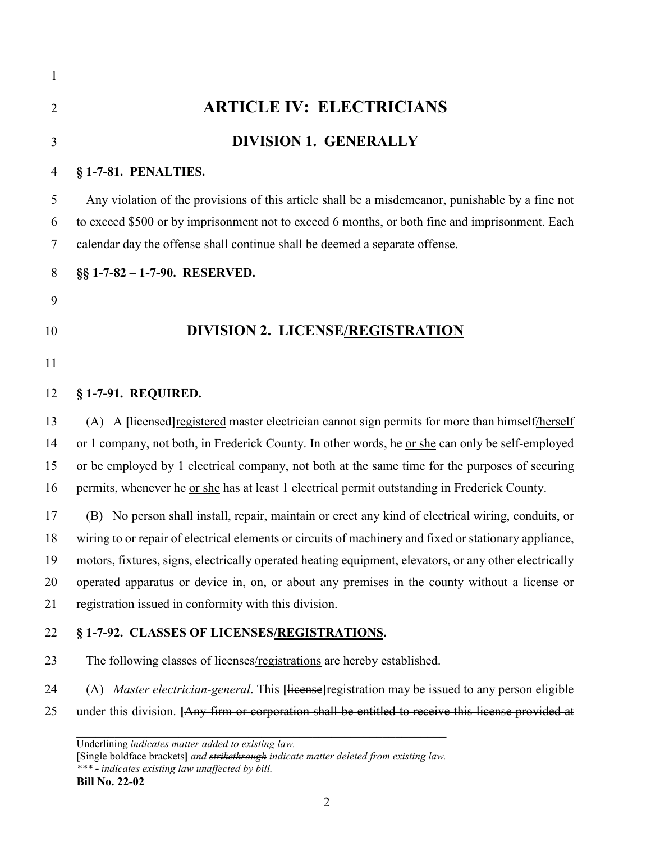| $\mathbf{1}$   |                                                                                                                                                                                                                                                                                   |
|----------------|-----------------------------------------------------------------------------------------------------------------------------------------------------------------------------------------------------------------------------------------------------------------------------------|
| $\overline{2}$ | <b>ARTICLE IV: ELECTRICIANS</b>                                                                                                                                                                                                                                                   |
| 3              | <b>DIVISION 1. GENERALLY</b>                                                                                                                                                                                                                                                      |
| 4              | § 1-7-81. PENALTIES.                                                                                                                                                                                                                                                              |
| 5<br>6<br>7    | Any violation of the provisions of this article shall be a misdemeanor, punishable by a fine not<br>to exceed \$500 or by imprisonment not to exceed 6 months, or both fine and imprisonment. Each<br>calendar day the offense shall continue shall be deemed a separate offense. |
| 8              | §§ 1-7-82 - 1-7-90. RESERVED.                                                                                                                                                                                                                                                     |
| 9              |                                                                                                                                                                                                                                                                                   |
| 10             | DIVISION 2. LICENSE/REGISTRATION                                                                                                                                                                                                                                                  |
| 11             |                                                                                                                                                                                                                                                                                   |
| 12             | § 1-7-91. REQUIRED.                                                                                                                                                                                                                                                               |
| 13             | (A) A Hicensed registered master electrician cannot sign permits for more than himself/herself                                                                                                                                                                                    |
| 14             | or 1 company, not both, in Frederick County. In other words, he <u>or she</u> can only be self-employed                                                                                                                                                                           |
| 15             | or be employed by 1 electrical company, not both at the same time for the purposes of securing                                                                                                                                                                                    |
| 16             | permits, whenever he <u>or she</u> has at least 1 electrical permit outstanding in Frederick County.                                                                                                                                                                              |
| 17             | (B) No person shall install, repair, maintain or erect any kind of electrical wiring, conduits, or                                                                                                                                                                                |
| 18             | wiring to or repair of electrical elements or circuits of machinery and fixed or stationary appliance,                                                                                                                                                                            |
| 19             | motors, fixtures, signs, electrically operated heating equipment, elevators, or any other electrically                                                                                                                                                                            |
| 20             | operated apparatus or device in, on, or about any premises in the county without a license or                                                                                                                                                                                     |
| 21             | registration issued in conformity with this division.                                                                                                                                                                                                                             |
| 22             | § 1-7-92. CLASSES OF LICENSES/REGISTRATIONS.                                                                                                                                                                                                                                      |
| 23             | The following classes of licenses/registrations are hereby established.                                                                                                                                                                                                           |
| 24             | (A) <i>Master electrician-general</i> . This [license] registration may be issued to any person eligible                                                                                                                                                                          |
| 25             | under this division. [Any firm or corporation shall be entitled to receive this license provided at                                                                                                                                                                               |
|                | Underlining indicates matter added to existing law.<br>[Single boldface brackets] and strikethrough indicate matter deleted from existing law.                                                                                                                                    |

*\*\*\* - indicates existing law unaffected by bill.* **Bill No. 22-02**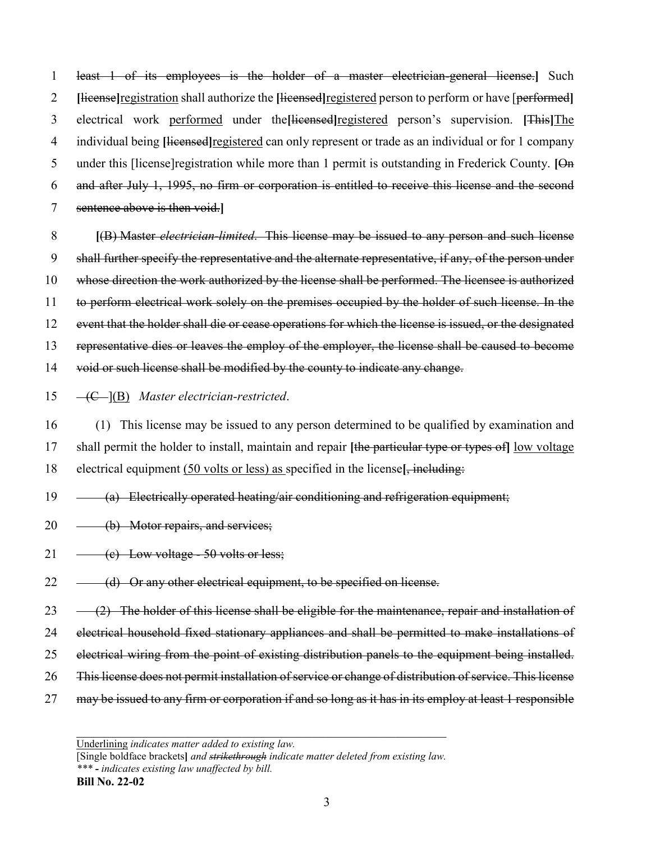least 1 of its employees is the holder of a master electrician-general license.**]** Such **[**license**]**registration shall authorize the **[**licensed**]**registered person to perform or have [performed**]** electrical work performed under the**[**licensed**]**registered person's supervision. **[**This**]**The individual being **[**licensed**]**registered can only represent or trade as an individual or for 1 company 5 under this [license] registration while more than 1 permit is outstanding in Frederick County. [On and after July 1, 1995, no firm or corporation is entitled to receive this license and the second sentence above is then void.**]**

 **[**(B) Master *electrician-limited*. This license may be issued to any person and such license shall further specify the representative and the alternate representative, if any, of the person under whose direction the work authorized by the license shall be performed. The licensee is authorized 11 to perform electrical work solely on the premises occupied by the holder of such license. In the event that the holder shall die or cease operations for which the license is issued, or the designated representative dies or leaves the employ of the employer, the license shall be caused to become void or such license shall be modified by the county to indicate any change.

15 (C ](B) *Master electrician-restricted*.

16 (1) This license may be issued to any person determined to be qualified by examination and 17 shall permit the holder to install, maintain and repair **[**the particular type or types of**]** low voltage 18 electrical equipment (50 volts or less) as specified in the license**[**, including:

- $19 \quad \quad$  (a) Electrically operated heating/air conditioning and refrigeration equipment;
- 20 (b) Motor repairs, and services;
- 21  $\leftarrow$  (c) Low voltage 50 volts or less;
- $22 \left( d \right)$  Or any other electrical equipment, to be specified on license.

 $23 \left(2\right)$  The holder of this license shall be eligible for the maintenance, repair and installation of

- 24 electrical household fixed stationary appliances and shall be permitted to make installations of
- 25 electrical wiring from the point of existing distribution panels to the equipment being installed.
- 26 This license does not permit installation of service or change of distribution of service. This license
- 27 may be issued to any firm or corporation if and so long as it has in its employ at least 1 responsible

Underlining *indicates matter added to existing law.*

<sup>[</sup>Single boldface brackets**]** *and strikethrough indicate matter deleted from existing law. \*\*\* - indicates existing law unaffected by bill.*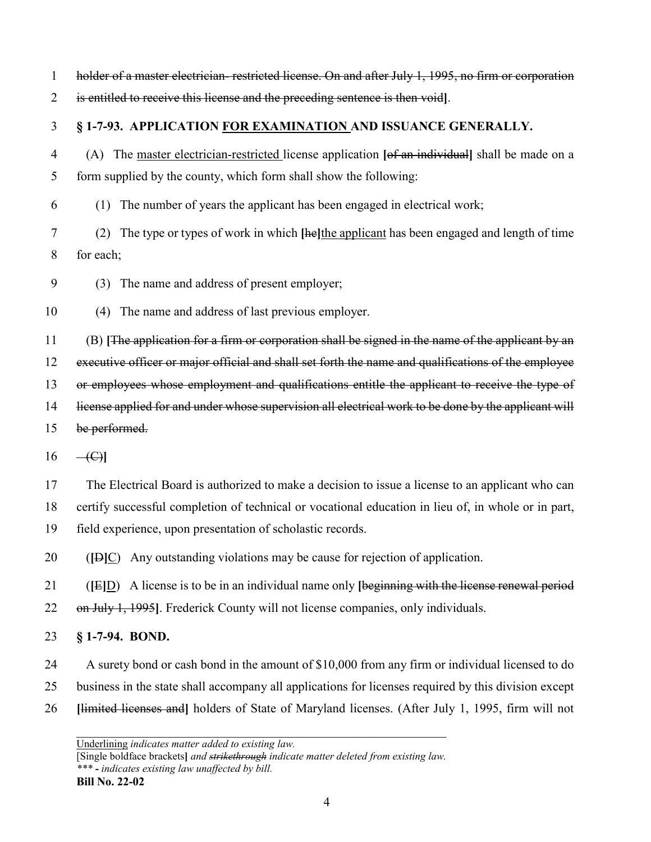| 1  | holder of a master electrician-restricted license. On and after July 1, 1995, no firm or corporation |
|----|------------------------------------------------------------------------------------------------------|
| 2  | is entitled to receive this license and the preceding sentence is then void].                        |
| 3  | § 1-7-93. APPLICATION FOR EXAMINATION AND ISSUANCE GENERALLY.                                        |
| 4  | (A) The master electrician-restricted license application [of an individual] shall be made on a      |
| 5  | form supplied by the county, which form shall show the following:                                    |
| 6  | The number of years the applicant has been engaged in electrical work;<br>(1)                        |
| 7  | The type or types of work in which [he]the applicant has been engaged and length of time<br>(2)      |
| 8  | for each;                                                                                            |
| 9  | The name and address of present employer;<br>(3)                                                     |
| 10 | The name and address of last previous employer.<br>(4)                                               |
| 11 | (B) [The application for a firm or corporation shall be signed in the name of the applicant by an    |
| 12 | executive officer or major official and shall set forth the name and qualifications of the employee  |
| 13 | or employees whose employment and qualifications entitle the applicant to receive the type of        |
| 14 | license applied for and under whose supervision all electrical work to be done by the applicant will |
| 15 | be performed.                                                                                        |
| 16 | $-\left(\mathrm{C}\right)$                                                                           |
| 17 | The Electrical Board is authorized to make a decision to issue a license to an applicant who can     |
| 18 | certify successful completion of technical or vocational education in lieu of, in whole or in part,  |
| 19 | field experience, upon presentation of scholastic records.                                           |
| 20 | Any outstanding violations may be cause for rejection of application.<br>$(\text{[B]C})$             |
| 21 | A license is to be in an individual name only [beginning with the license renewal period<br>(E D)    |
| 22 | on July 1, 1995. Frederick County will not license companies, only individuals.                      |
| 23 | $§ 1-7-94. BOND.$                                                                                    |
| 24 | A surety bond or cash bond in the amount of \$10,000 from any firm or individual licensed to do      |
| 25 | business in the state shall accompany all applications for licenses required by this division except |
| 26 | [limited licenses and] holders of State of Maryland licenses. (After July 1, 1995, firm will not     |

[Single boldface brackets**]** *and strikethrough indicate matter deleted from existing law. \*\*\* - indicates existing law unaffected by bill.*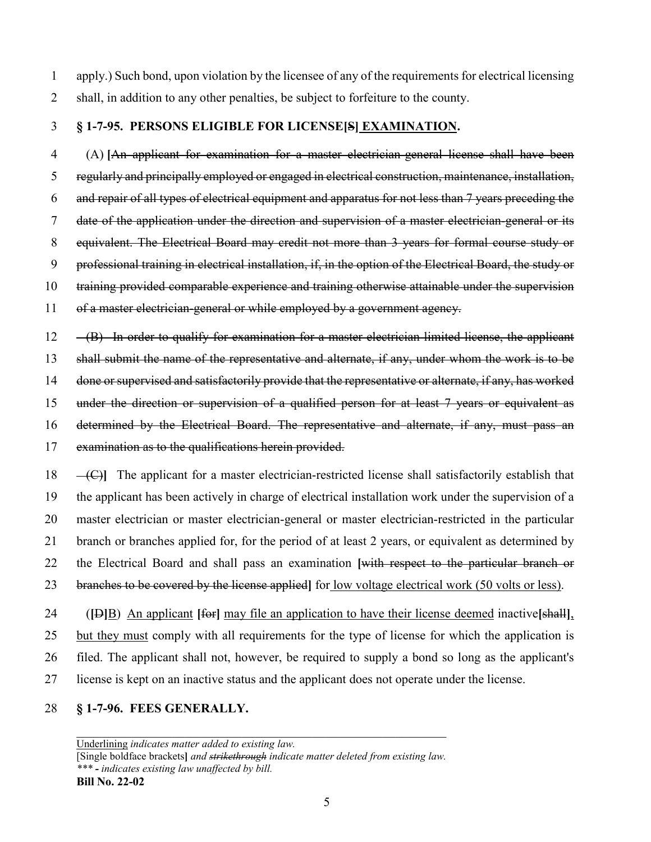apply.) Such bond, upon violation by the licensee of any of the requirements for electrical licensing shall, in addition to any other penalties, be subject to forfeiture to the county.

## **§ 1-7-95. PERSONS ELIGIBLE FOR LICENSE[S] EXAMINATION.**

4 (A) **[**An applicant for examination for a master electrician-general license shall have been regularly and principally employed or engaged in electrical construction, maintenance, installation, and repair of all types of electrical equipment and apparatus for not less than 7 years preceding the date of the application under the direction and supervision of a master electrician-general or its 8 equivalent. The Electrical Board may credit not more than 3 years for formal course study or professional training in electrical installation, if, in the option of the Electrical Board, the study or 10 training provided comparable experience and training otherwise attainable under the supervision 11 of a master electrician-general or while employed by a government agency.

12 (B) In order to qualify for examination for a master electrician-limited license, the applicant

shall submit the name of the representative and alternate, if any, under whom the work is to be

done or supervised and satisfactorily provide that the representative or alternate, if any, has worked

under the direction or supervision of a qualified person for at least 7 years or equivalent as

16 determined by the Electrical Board. The representative and alternate, if any, must pass an

examination as to the qualifications herein provided.

18 (C)**]** The applicant for a master electrician-restricted license shall satisfactorily establish that the applicant has been actively in charge of electrical installation work under the supervision of a master electrician or master electrician-general or master electrician-restricted in the particular branch or branches applied for, for the period of at least 2 years, or equivalent as determined by the Electrical Board and shall pass an examination **[**with respect to the particular branch or branches to be covered by the license applied**]** for low voltage electrical work (50 volts or less).

24 (**[**D**]**B) An applicant **[**for**]** may file an application to have their license deemed inactive**[**shall**]**, but they must comply with all requirements for the type of license for which the application is filed. The applicant shall not, however, be required to supply a bond so long as the applicant's license is kept on an inactive status and the applicant does not operate under the license.

#### **§ 1-7-96. FEES GENERALLY.**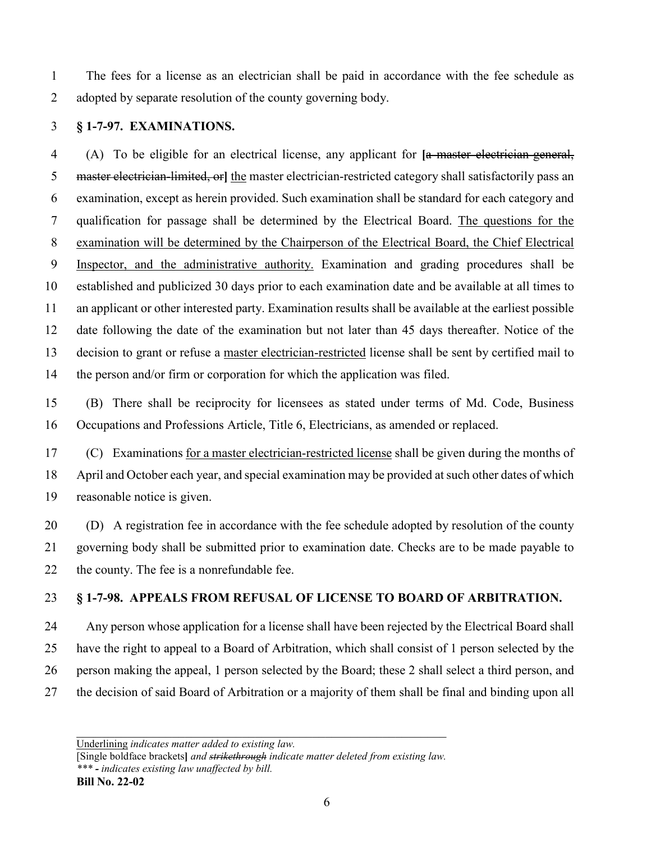1 The fees for a license as an electrician shall be paid in accordance with the fee schedule as adopted by separate resolution of the county governing body.

### **§ 1-7-97. EXAMINATIONS.**

4 (A) To be eligible for an electrical license, any applicant for **[**a master electrician-general, master electrician-limited, or**]** the master electrician-restricted category shall satisfactorily pass an examination, except as herein provided. Such examination shall be standard for each category and qualification for passage shall be determined by the Electrical Board. The questions for the examination will be determined by the Chairperson of the Electrical Board, the Chief Electrical Inspector, and the administrative authority. Examination and grading procedures shall be established and publicized 30 days prior to each examination date and be available at all times to an applicant or other interested party. Examination results shall be available at the earliest possible date following the date of the examination but not later than 45 days thereafter. Notice of the decision to grant or refuse a master electrician-restricted license shall be sent by certified mail to the person and/or firm or corporation for which the application was filed.

15 (B) There shall be reciprocity for licensees as stated under terms of Md. Code, Business Occupations and Professions Article, Title 6, Electricians, as amended or replaced.

17 (C) Examinations for a master electrician-restricted license shall be given during the months of April and October each year, and special examination may be provided at such other dates of which reasonable notice is given.

20 (D) A registration fee in accordance with the fee schedule adopted by resolution of the county governing body shall be submitted prior to examination date. Checks are to be made payable to 22 the county. The fee is a nonrefundable fee.

**§ 1-7-98. APPEALS FROM REFUSAL OF LICENSE TO BOARD OF ARBITRATION.**

24 Any person whose application for a license shall have been rejected by the Electrical Board shall have the right to appeal to a Board of Arbitration, which shall consist of 1 person selected by the person making the appeal, 1 person selected by the Board; these 2 shall select a third person, and the decision of said Board of Arbitration or a majority of them shall be final and binding upon all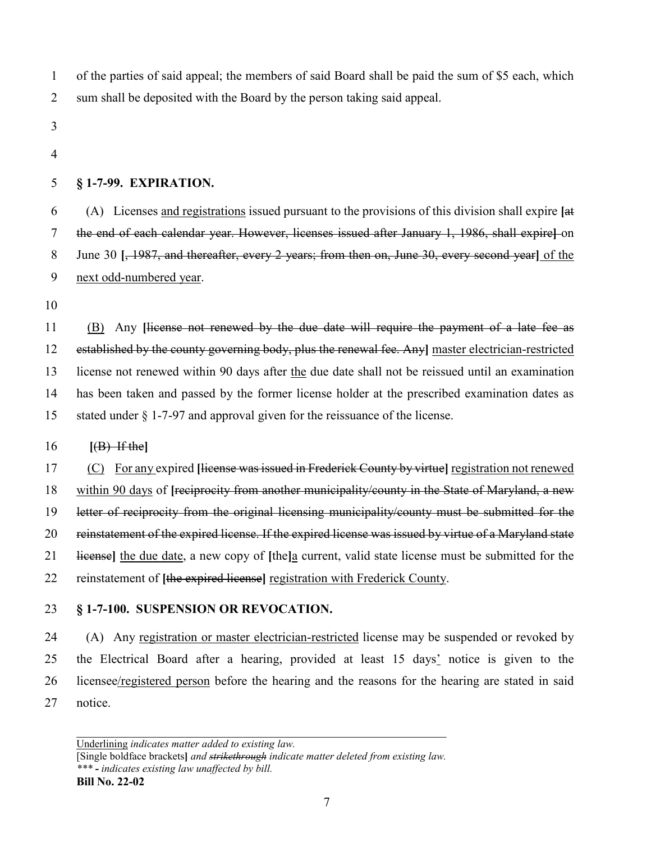of the parties of said appeal; the members of said Board shall be paid the sum of \$5 each, which sum shall be deposited with the Board by the person taking said appeal.

- 
- 

#### **§ 1-7-99. EXPIRATION.**

6 (A) Licenses and registrations issued pursuant to the provisions of this division shall expire **[**at the end of each calendar year. However, licenses issued after January 1, 1986, shall expire**]** on June 30 **[**, 1987, and thereafter, every 2 years; from then on, June 30, every second year**]** of the next odd-numbered year.

 (B) Any **[**license not renewed by the due date will require the payment of a late fee as established by the county governing body, plus the renewal fee. Any**]** master electrician-restricted license not renewed within 90 days after the due date shall not be reissued until an examination has been taken and passed by the former license holder at the prescribed examination dates as stated under § 1-7-97 and approval given for the reissuance of the license.

#### **[**(B) If the**]**

 (C) For any expired **[**license was issued in Frederick County by virtue**]** registration not renewed within 90 days of **[**reciprocity from another municipality/county in the State of Maryland, a new letter of reciprocity from the original licensing municipality/county must be submitted for the reinstatement of the expired license. If the expired license was issued by virtue of a Maryland state license**]** the due date, a new copy of **[**the**]**a current, valid state license must be submitted for the reinstatement of **[**the expired license**]** registration with Frederick County.

#### **§ 1-7-100. SUSPENSION OR REVOCATION.**

24 (A) Any registration or master electrician-restricted license may be suspended or revoked by the Electrical Board after a hearing, provided at least 15 days' notice is given to the licensee/registered person before the hearing and the reasons for the hearing are stated in said notice.

[Single boldface brackets**]** *and strikethrough indicate matter deleted from existing law. \*\*\* - indicates existing law unaffected by bill.*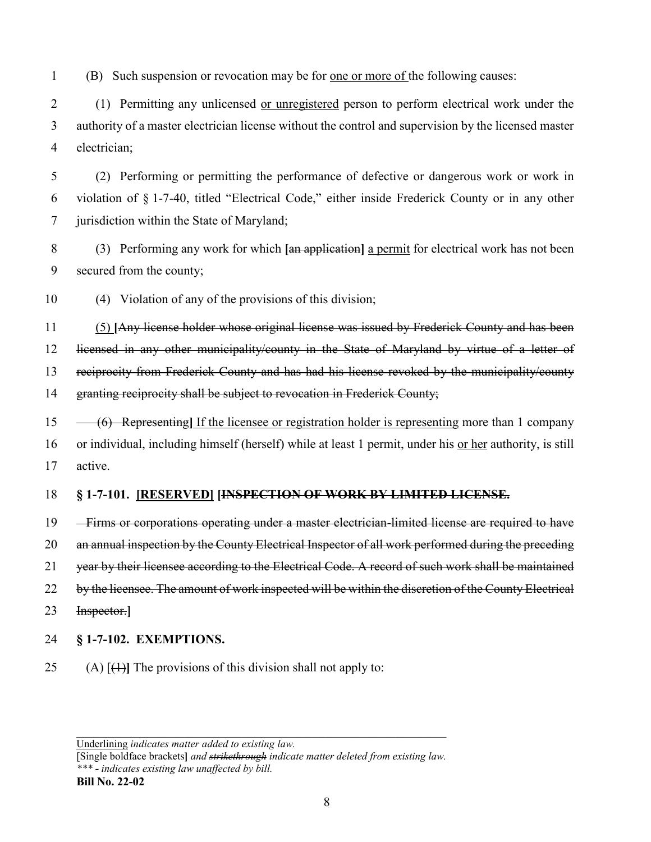1 (B) Such suspension or revocation may be for one or more of the following causes:

2 (1) Permitting any unlicensed <u>or unregistered</u> person to perform electrical work under the 3 authority of a master electrician license without the control and supervision by the licensed master 4 electrician;

5 (2) Performing or permitting the performance of defective or dangerous work or work in 6 violation of § 1-7-40, titled "Electrical Code," either inside Frederick County or in any other 7 jurisdiction within the State of Maryland;

8 (3) Performing any work for which **[**an application**]** a permit for electrical work has not been 9 secured from the county;

10 (4) Violation of any of the provisions of this division;

11 (5) **[**Any license holder whose original license was issued by Frederick County and has been licensed in any other municipality/county in the State of Maryland by virtue of a letter of reciprocity from Frederick County and has had his license revoked by the municipality/county granting reciprocity shall be subject to revocation in Frederick County;

15 (6) Representing**]** If the licensee or registration holder is representing more than 1 company 16 or individual, including himself (herself) while at least 1 permit, under his <u>or her</u> authority, is still 17 active.

#### 18 **§ 1-7-101. [RESERVED] [INSPECTION OF WORK BY LIMITED LICENSE.**

19 Firms or corporations operating under a master electrician-limited license are required to have 20 an annual inspection by the County Electrical Inspector of all work performed during the preceding 21 year by their licensee according to the Electrical Code. A record of such work shall be maintained 22 by the licensee. The amount of work inspected will be within the discretion of the County Electrical 23 Inspector.**]**

- 24 **§ 1-7-102. EXEMPTIONS.**
- 25 (A) [(1)**]** The provisions of this division shall not apply to:

Underlining *indicates matter added to existing law.*

[Single boldface brackets**]** *and strikethrough indicate matter deleted from existing law. \*\*\* - indicates existing law unaffected by bill.*

**Bill No. 22-02**